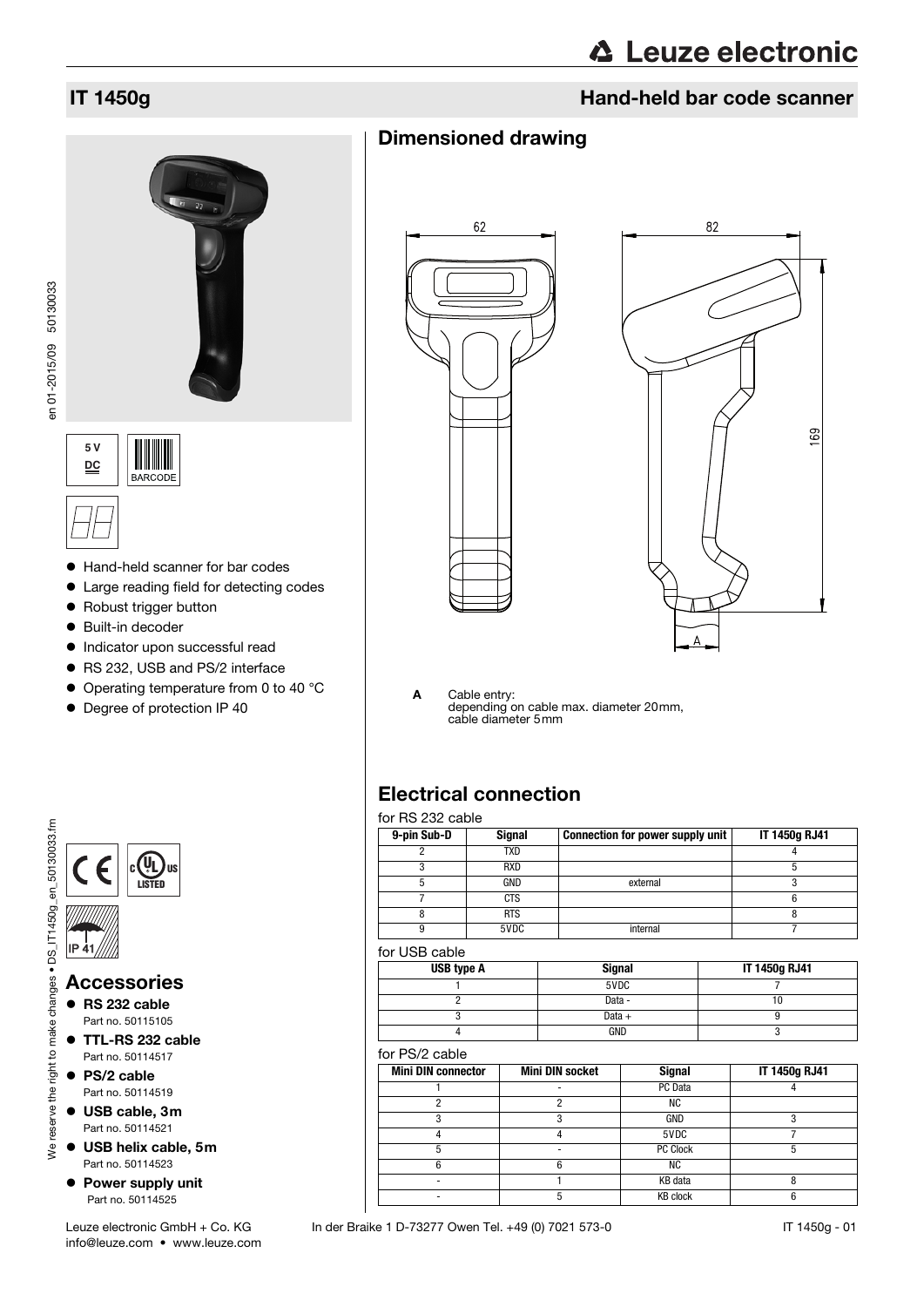## **IT 1450g Hand-held bar code scanner**

## Dimensioned drawing





A Cable entry: depending on cable max. diameter 20mm, cable diameter 5mm

## Electrical connection

### for RS 232 cable

| $0.102$ LOL 00010 |               |                                  |               |
|-------------------|---------------|----------------------------------|---------------|
| 9-pin Sub-D       | <b>Signal</b> | Connection for power supply unit | IT 1450g RJ41 |
|                   | TXD           |                                  |               |
|                   | <b>RXD</b>    |                                  |               |
|                   | GND           | external                         |               |
|                   | CTS           |                                  |               |
|                   | <b>RTS</b>    |                                  |               |
|                   | 5VDC          | internal                         |               |

### for USB cable

| USB type A | <b>Signal</b> | IT 1450g RJ41 |
|------------|---------------|---------------|
|            | 5VDC          |               |
|            | Data -        |               |
|            | Data $+$      |               |
|            | GND           |               |

### for PS/2 cable

| <b>Mini DIN connector</b> | <b>Mini DIN socket</b> | <b>Signal</b>   | IT 1450g RJ41 |
|---------------------------|------------------------|-----------------|---------------|
|                           |                        | PC Data         |               |
|                           |                        | ΝC              |               |
|                           |                        | GND             |               |
|                           |                        | 5VDC            |               |
|                           |                        | PC Clock        |               |
|                           |                        | ΝC              |               |
|                           |                        | KB data         |               |
|                           |                        | <b>KB</b> clock |               |

### IT 1450g - 01

en 01-2015/09 50130033 en 01-2015/09 50130033





- Hand-held scanner for bar codes
- Large reading field for detecting codes
- Robust trigger button
- Built-in decoder
- $\bullet$  Indicator upon successful read
- RS 232, USB and PS/2 interface
- Operating temperature from 0 to 40 °C
- $\bullet$  Degree of protection IP 40



info@leuze.com • www.leuze.com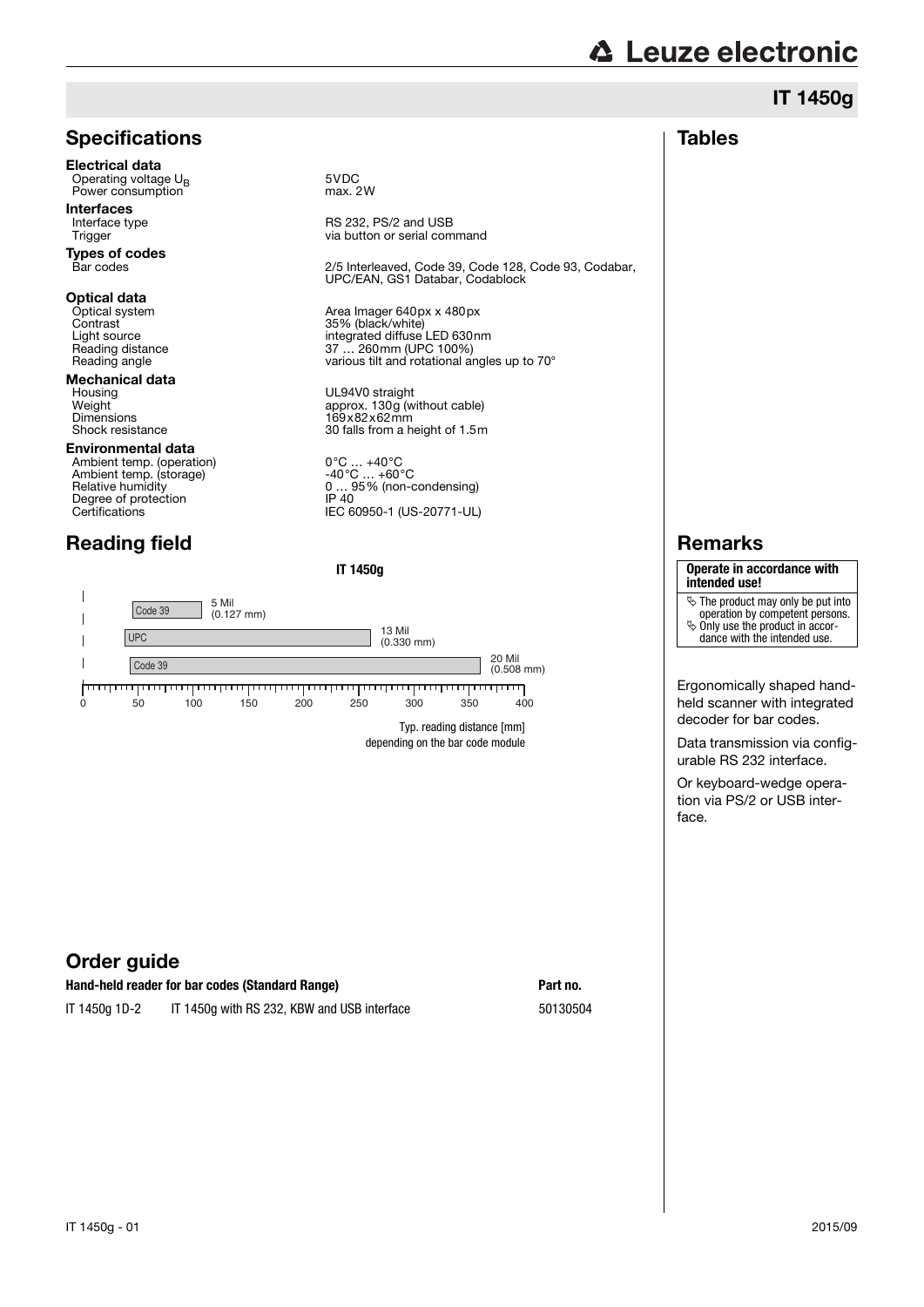## IT 1450g

### **Tables**

## **Specifications**

Electrical data Operating voltage U<sub>B</sub> 5VDC<br>
Power consumption max. 2W Power consumption

**Interfaces**<br>Interface type

**Types of codes**<br>Bar codes

# **Optical data**<br>Optical system

**Mechanical data**<br>Housing Housing UL94V0 straight<br>Weight Meight 2001

### Environmental data

Ambient temp. (operation) 0°C … +40°C Ambient temp. (storage) -40°C … +60°C Degree of protection<br>Certifications

## Reading field

Interface type **Interface type** RS 232, PS/2 and USB<br>Trigger Trigger and USB Trigger via button or serial command

Bar codes 2/5 Interleaved, Code 39, Code 128, Code 93, Codabar, UPC/EAN, GS1 Databar, Codablock

Optical system  $\overline{O}$  Area Imager 640px x 480px<br>Contrast Contrast 35% (black/white) Contrast 35% (black/white)<br>
Light source integrated diffuse Light source<br>
Light source integrated diffuse LED 630nm<br>
Reading distance integrated diffuse LED 630nm<br>
Reading distance integrated diffuse LED 630nm Reading distance 37 ... 260mm (UPC 100%)<br>Reading angle 37 ... 260mm (UPC 100%)<br>various tilt and rotational a various tilt and rotational angles up to 70°

Weight approx. 130g (without cable)<br>Dimensions approx. 130g (without cable) Dimensions 169x82x62mm<br>Shock resistance 30 falls from a h 30 falls from a height of 1.5m

Ambient temp. (operation)<br>
Ambient temp. (storage)<br>
Relative humidity<br>
Degree of protection<br>
Degree of protection<br>
Degree of protection<br>
Degree of protection<br>
Degree of protection<br>
Degree of protection<br>
Degree of protectio Certifications IEC 60950-1 (US-20771-UL)

### **IT 1450g**



depending on the bar code module

### Order guide

| Hand-held reader for bar codes (Standard Range) |                                             | Part no. |
|-------------------------------------------------|---------------------------------------------|----------|
| IT 1450g 1D-2                                   | IT 1450g with RS 232, KBW and USB interface | 50130504 |

### Remarks

### **Operate in accordance with intended use!**

- $\frac{1}{2}$  The product may only be put into
- operation by competent persons.  $\%$  Only use the product in accor-
- dance with the intended use.

Ergonomically shaped handheld scanner with integrated decoder for bar codes.

Data transmission via configurable RS 232 interface.

Or keyboard-wedge operation via PS/2 or USB interface.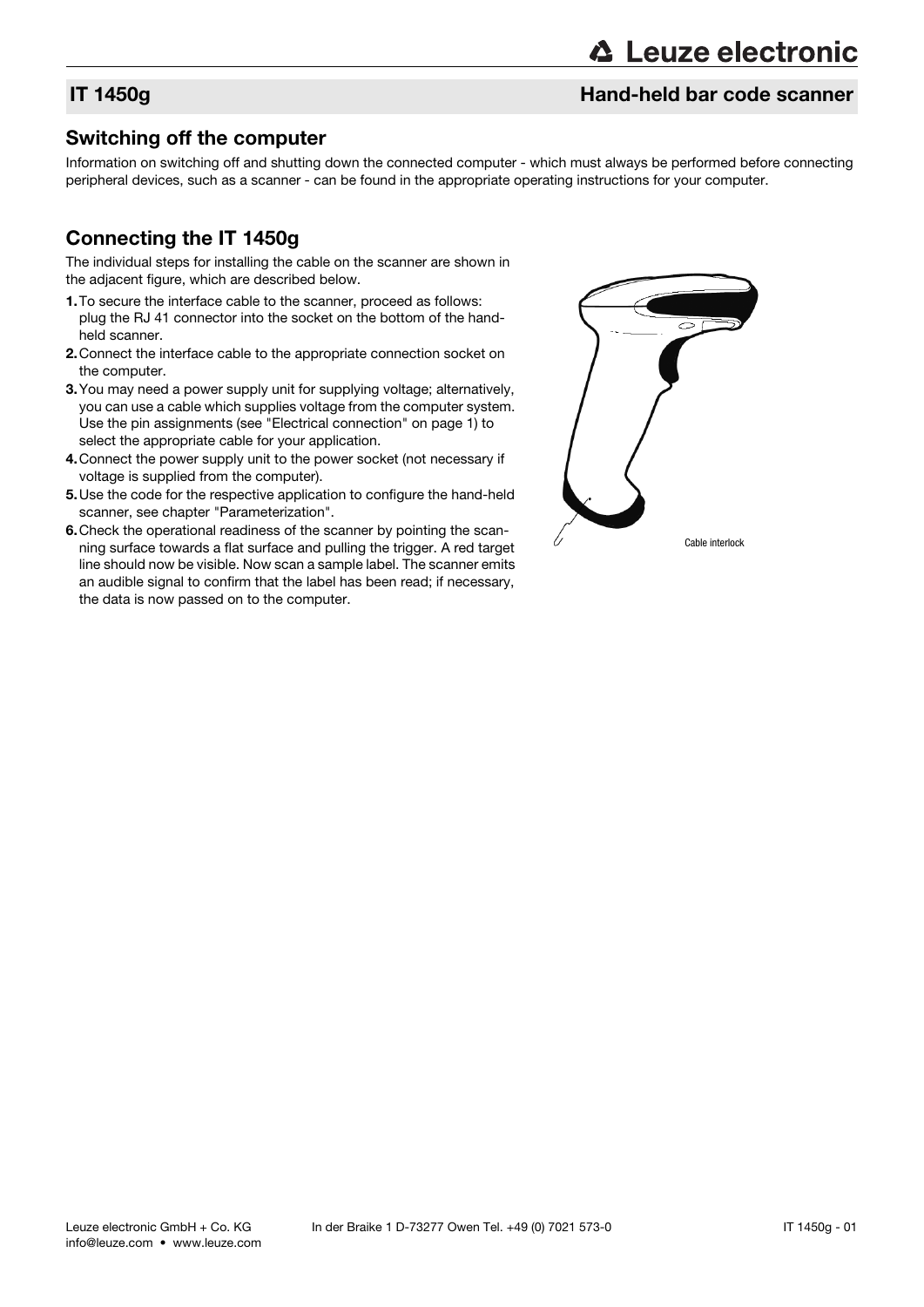## IT 1450g Hand-held bar code scanner

### Switching off the computer

Information on switching off and shutting down the connected computer - which must always be performed before connecting peripheral devices, such as a scanner - can be found in the appropriate operating instructions for your computer.

## Connecting the IT 1450g

The individual steps for installing the cable on the scanner are shown in the adjacent figure, which are described below.

- 1.To secure the interface cable to the scanner, proceed as follows: plug the RJ 41 connector into the socket on the bottom of the handheld scanner.
- 2.Connect the interface cable to the appropriate connection socket on the computer.
- 3.You may need a power supply unit for supplying voltage; alternatively, you can use a cable which supplies voltage from the computer system. Use the pin assignments (see "Electrical connection" on page 1) to select the appropriate cable for your application.
- 4.Connect the power supply unit to the power socket (not necessary if voltage is supplied from the computer).
- 5.Use the code for the respective application to configure the hand-held scanner, see chapter "Parameterization".
- 6.Check the operational readiness of the scanner by pointing the scanning surface towards a flat surface and pulling the trigger. A red target line should now be visible. Now scan a sample label. The scanner emits an audible signal to confirm that the label has been read; if necessary, the data is now passed on to the computer.

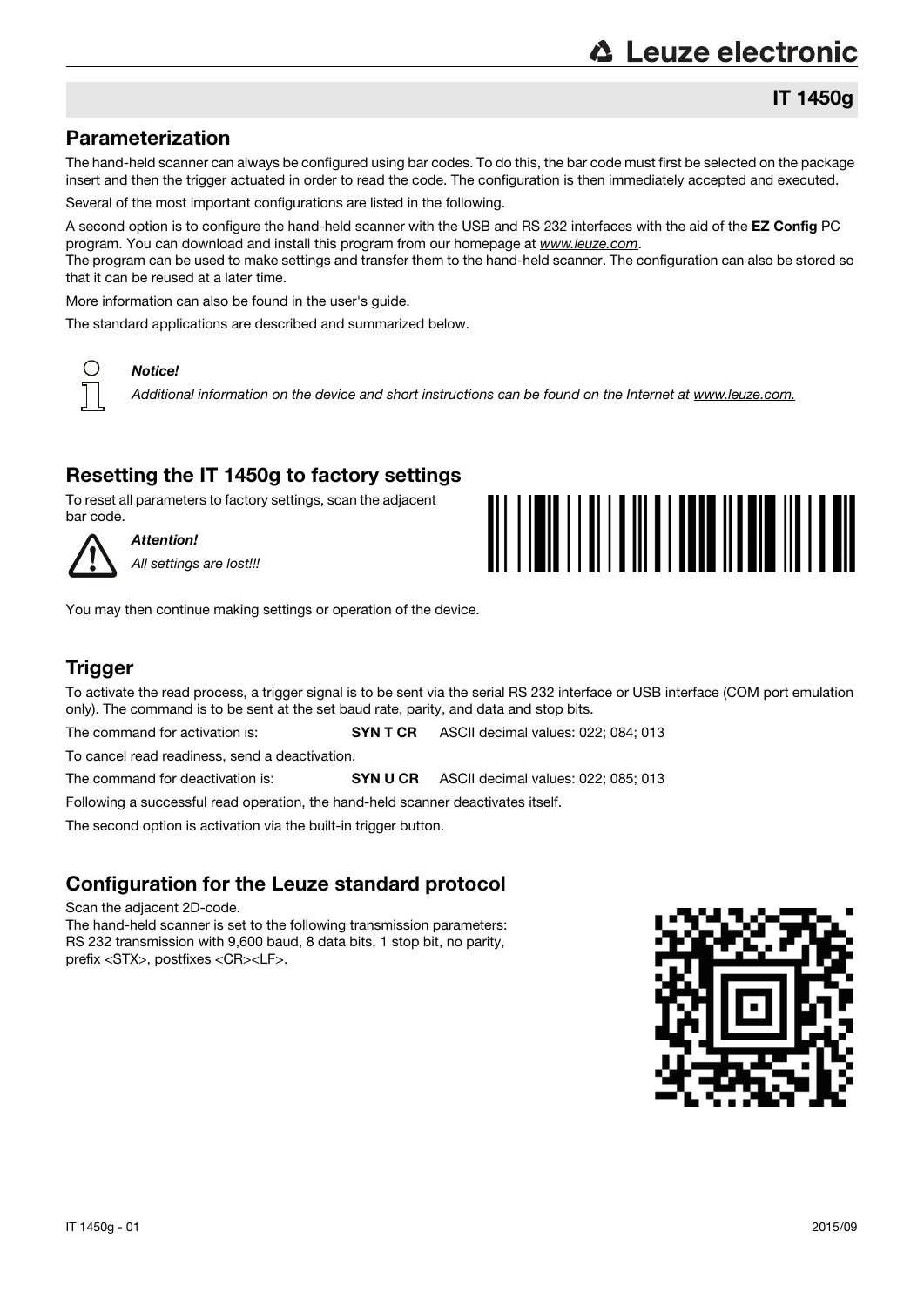## IT 1450g

## Parameterization

The hand-held scanner can always be configured using bar codes. To do this, the bar code must first be selected on the package insert and then the trigger actuated in order to read the code. The configuration is then immediately accepted and executed.

Several of the most important configurations are listed in the following.

A second option is to configure the hand-held scanner with the USB and RS 232 interfaces with the aid of the EZ Config PC program. You can download and install this program from our homepage at www.leuze.com. The program can be used to make settings and transfer them to the hand-held scanner. The configuration can also be stored so that it can be reused at a later time.

More information can also be found in the user's guide.

The standard applications are described and summarized below.



### Notice!

Additional information on the device and short instructions can be found on the Internet at www.leuze.com.

## Resetting the IT 1450g to factory settings

To reset all parameters to factory settings, scan the adjacent bar code.



Attention! All settings are lost!!!



You may then continue making settings or operation of the device.

### **Trigger**

To activate the read process, a trigger signal is to be sent via the serial RS 232 interface or USB interface (COM port emulation only). The command is to be sent at the set baud rate, parity, and data and stop bits.

The command for activation is: **SYN T CR** ASCII decimal values: 022; 084; 013

To cancel read readiness, send a deactivation.

The command for deactivation is: **SYN U CR** ASCII decimal values: 022; 085; 013

Following a successful read operation, the hand-held scanner deactivates itself.

The second option is activation via the built-in trigger button.

### Configuration for the Leuze standard protocol

Scan the adjacent 2D-code.

The hand-held scanner is set to the following transmission parameters: RS 232 transmission with 9,600 baud, 8 data bits, 1 stop bit, no parity, prefix <STX>, postfixes <CR><LF>.

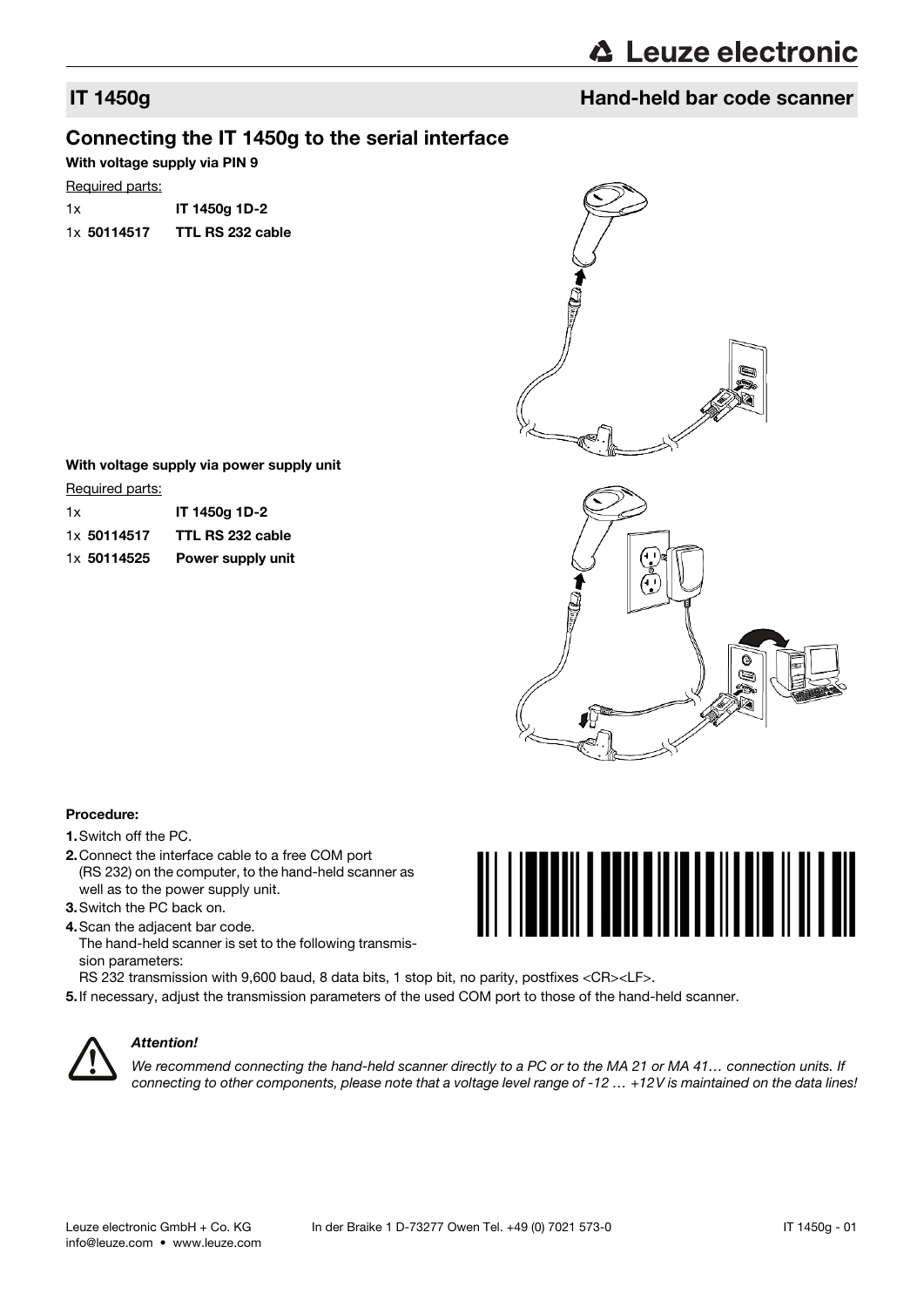## IT 1450g Hand-held bar code scanner

### Connecting the IT 1450g to the serial interface

With voltage supply via PIN 9

### Required parts:

1x IT 1450g 1D-2 1x 50114517 TTL RS 232 cable



### With voltage supply via power supply unit

Required parts:

| 1x          | IT 1450g 1D-2     |
|-------------|-------------------|
| 1x 50114517 | TTL RS 232 cable  |
| 1x 50114525 | Power supply unit |



### Procedure:

- 1.Switch off the PC.
- 2.Connect the interface cable to a free COM port (RS 232) on the computer, to the hand-held scanner as well as to the power supply unit.
- 3.Switch the PC back on.
- 4.Scan the adjacent bar code. The hand-held scanner is set to the following transmission parameters:
- RS 232 transmission with 9,600 baud, 8 data bits, 1 stop bit, no parity, postfixes <CR><LF>.
- 5.If necessary, adjust the transmission parameters of the used COM port to those of the hand-held scanner.



### Attention!

We recommend connecting the hand-held scanner directly to a PC or to the MA 21 or MA 41... connection units. If connecting to other components, please note that a voltage level range of -12 ... +12V is maintained on the data lines!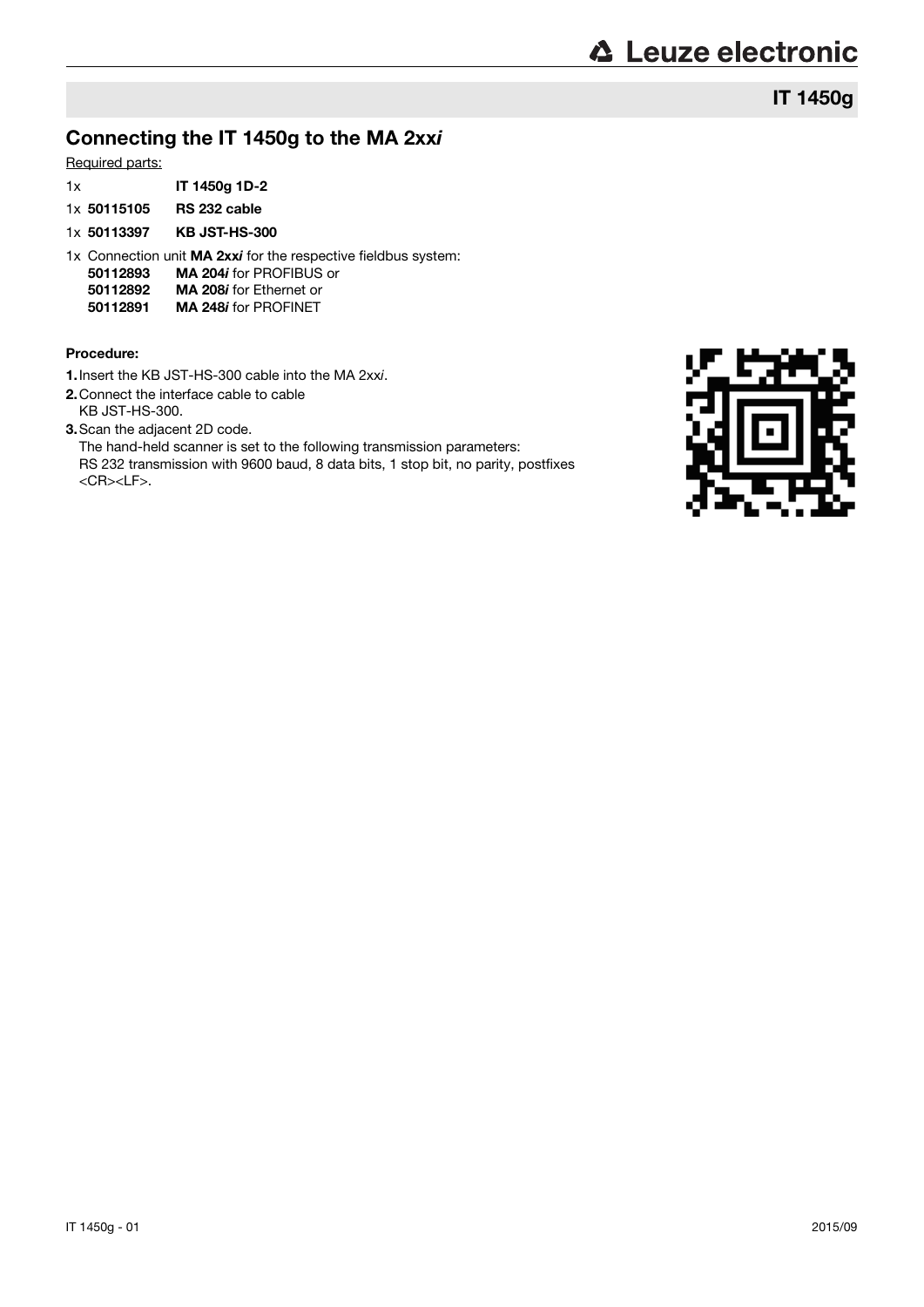## IT 1450g

## Connecting the IT 1450g to the MA 2xxi

### Required parts:

- 1x IT 1450g 1D-2
- 1x 50115105 RS 232 cable
- 1x 50113397 KB JST-HS-300
- 1x Connection unit MA 2xxi for the respective fieldbus system:
- 50112893 MA 204i for PROFIBUS or
- **50112892 MA 208i for Ethernet or<br>50112891 MA 248i for PROFINET**
- MA 248i for PROFINET

### Procedure:

- 1.Insert the KB JST-HS-300 cable into the MA 2xxi.
- 2.Connect the interface cable to cable
- KB JST-HS-300.
- 3.Scan the adjacent 2D code.

The hand-held scanner is set to the following transmission parameters: RS 232 transmission with 9600 baud, 8 data bits, 1 stop bit, no parity, postfixes <CR><LF>.

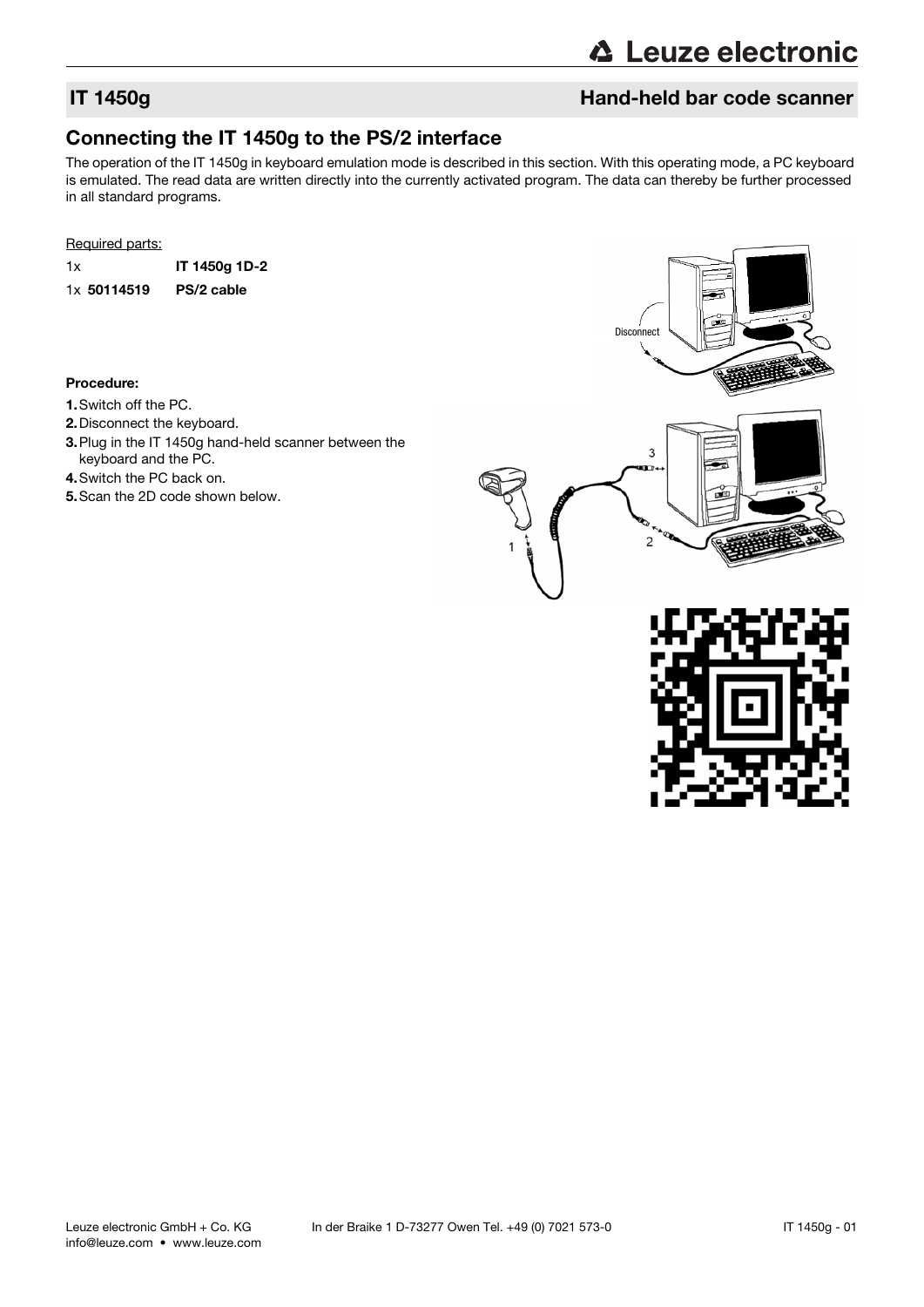## **IT 1450g Hand-held bar code scanner**

## Connecting the IT 1450g to the PS/2 interface

The operation of the IT 1450g in keyboard emulation mode is described in this section. With this operating mode, a PC keyboard is emulated. The read data are written directly into the currently activated program. The data can thereby be further processed in all standard programs.

### Required parts:

1x IT 1450g 1D-2 1x 50114519 PS/2 cable

### Procedure:

- 1.Switch off the PC.
- 2.Disconnect the keyboard.
- 3.Plug in the IT 1450g hand-held scanner between the keyboard and the PC.
- 4.Switch the PC back on.
- 5.Scan the 2D code shown below.



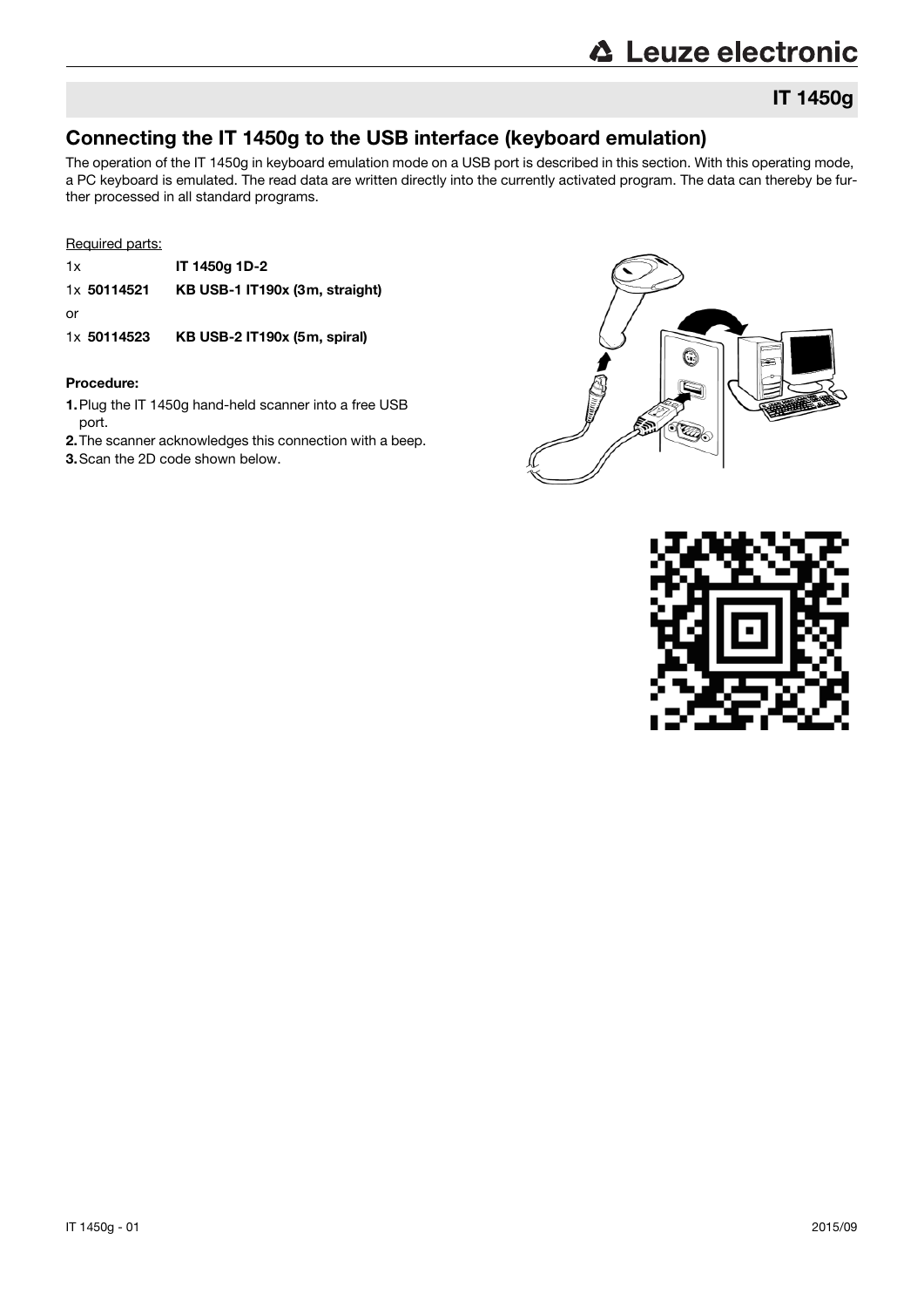## IT 1450g

## Connecting the IT 1450g to the USB interface (keyboard emulation)

The operation of the IT 1450g in keyboard emulation mode on a USB port is described in this section. With this operating mode, a PC keyboard is emulated. The read data are written directly into the currently activated program. The data can thereby be further processed in all standard programs.

### Required parts:

- 1x IT 1450g 1D-2 1x 50114521 KB USB-1 IT190x (3m, straight) or
- 1x 50114523 KB USB-2 IT190x (5m, spiral)

### Procedure:

- 1.Plug the IT 1450g hand-held scanner into a free USB port.
- 2.The scanner acknowledges this connection with a beep.

3.Scan the 2D code shown below.



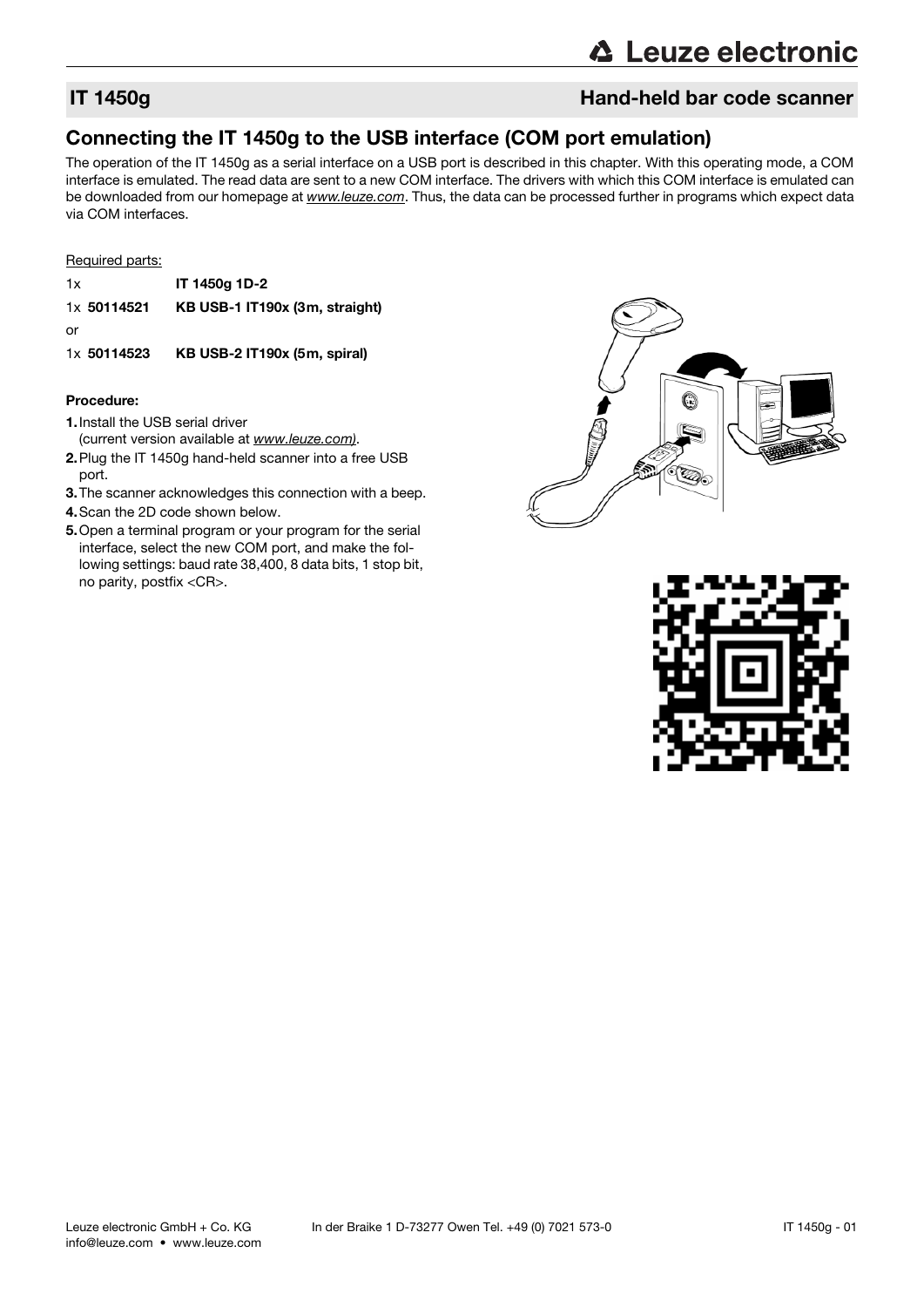## IT 1450g Hand-held bar code scanner

## Connecting the IT 1450g to the USB interface (COM port emulation)

The operation of the IT 1450g as a serial interface on a USB port is described in this chapter. With this operating mode, a COM interface is emulated. The read data are sent to a new COM interface. The drivers with which this COM interface is emulated can be downloaded from our homepage at www.leuze.com. Thus, the data can be processed further in programs which expect data via COM interfaces.

### Required parts:

| 1x          | IT 1450g 1D-2                  |
|-------------|--------------------------------|
| 1x 50114521 | KB USB-1 IT190x (3m, straight) |

or

1x 50114523 KB USB-2 IT190x (5m, spiral)

### Procedure:

- 1.Install the USB serial driver
- (current version available at www.leuze.com).
- 2.Plug the IT 1450g hand-held scanner into a free USB port.
- 3.The scanner acknowledges this connection with a beep.
- 4.Scan the 2D code shown below.
- 5.Open a terminal program or your program for the serial interface, select the new COM port, and make the following settings: baud rate 38,400, 8 data bits, 1 stop bit, no parity, postfix <CR>.